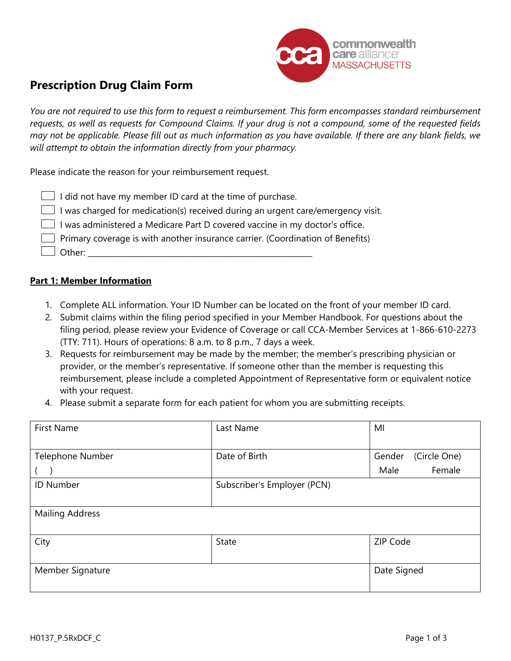

# **Prescription Drug Claim Form**

*You are not required to use this form to request a reimbursement. This form encompasses standard reimbursement requests, as well as requests for Compound Claims. If your drug is not a compound, some of the requested fields may not be applicable. Please fill out as much information as you have available. If there are any blank fields, we will attempt to obtain the information directly from your pharmacy.*

Please indicate the reason for your reimbursement request.

| $\Box$ I did not have my member ID card at the time of purchase.                      |
|---------------------------------------------------------------------------------------|
| I was charged for medication(s) received during an urgent care/emergency visit.       |
| I was administered a Medicare Part D covered vaccine in my doctor's office.           |
| $\Box$ Primary coverage is with another insurance carrier. (Coordination of Benefits) |
| $\Box$ Other:                                                                         |

#### **Part 1: Member Information**

- 1. Complete ALL information. Your ID Number can be located on the front of your member ID card.
- 2. Submit claims within the filing period specified in your Member Handbook. For questions about the filing period, please review your Evidence of Coverage or call CCA-Member Services at 1-866-610-2273 (TTY: 711). Hours of operations: 8 a.m. to 8 p.m., 7 days a week.
- 3. Requests for reimbursement may be made by the member; the member's prescribing physician or provider, or the member's representative. If someone other than the member is requesting this reimbursement, please include a completed Appointment of Representative form or equivalent notice with your request.
- 4. Please submit a separate form for each patient for whom you are submitting receipts.

| <b>First Name</b>      | Last Name                   | MI                     |  |
|------------------------|-----------------------------|------------------------|--|
|                        |                             |                        |  |
| Telephone Number       | Date of Birth               | (Circle One)<br>Gender |  |
|                        |                             | Female<br>Male         |  |
| <b>ID Number</b>       | Subscriber's Employer (PCN) |                        |  |
|                        |                             |                        |  |
| <b>Mailing Address</b> |                             |                        |  |
|                        |                             |                        |  |
| City                   | <b>State</b>                | ZIP Code               |  |
|                        |                             |                        |  |
| Member Signature       |                             | Date Signed            |  |
|                        |                             |                        |  |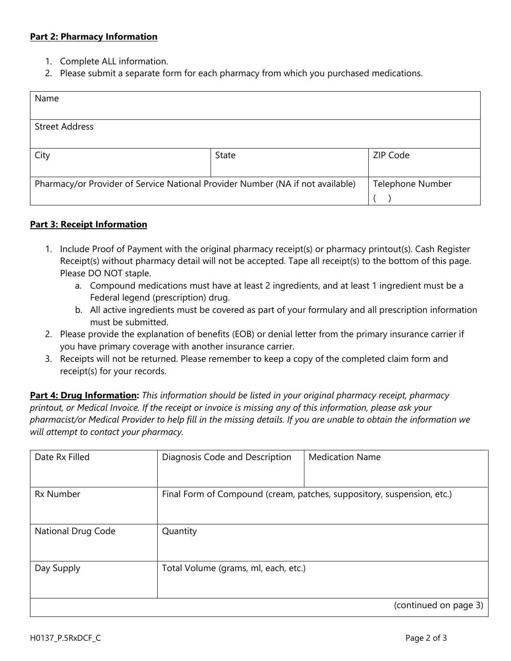### **Part 2: Pharmacy Information**

- 1. Complete ALL information.
- 2. Please submit a separate form for each pharmacy from which you purchased medications.

| Name                                                                           |                         |          |
|--------------------------------------------------------------------------------|-------------------------|----------|
|                                                                                |                         |          |
| <b>Street Address</b>                                                          |                         |          |
|                                                                                |                         |          |
| City                                                                           | State                   | ZIP Code |
|                                                                                |                         |          |
| Pharmacy/or Provider of Service National Provider Number (NA if not available) | <b>Telephone Number</b> |          |
|                                                                                |                         |          |

### **Part 3: Receipt Information**

- 1. Include Proof of Payment with the original pharmacy receipt(s) or pharmacy printout(s). Cash Register Receipt(s) without pharmacy detail will not be accepted. Tape all receipt(s) to the bottom of this page. Please DO NOT staple.
	- a. Compound medications must have at least 2 ingredients, and at least 1 ingredient must be a Federal legend (prescription) drug.
	- b. All active ingredients must be covered as part of your formulary and all prescription information must be submitted.
- 2. Please provide the explanation of benefits (EOB) or denial letter from the primary insurance carrier if you have primary coverage with another insurance carrier.
- 3. Receipts will not be returned. Please remember to keep a copy of the completed claim form and receipt(s) for your records.

**Part 4: Drug Information:** *This information should be listed in your original pharmacy receipt, pharmacy printout, or Medical Invoice. If the receipt or invoice is missing any of this information, please ask your pharmacist/or Medical Provider to help fill in the missing details. If you are unable to obtain the information we will attempt to contact your pharmacy.*

| Date Rx Filled     | Diagnosis Code and Description       | <b>Medication Name</b>                                                 |
|--------------------|--------------------------------------|------------------------------------------------------------------------|
| <b>Rx Number</b>   |                                      | Final Form of Compound (cream, patches, suppository, suspension, etc.) |
| National Drug Code | Quantity                             |                                                                        |
| Day Supply         | Total Volume (grams, ml, each, etc.) |                                                                        |
|                    |                                      | (continued on page 3)                                                  |